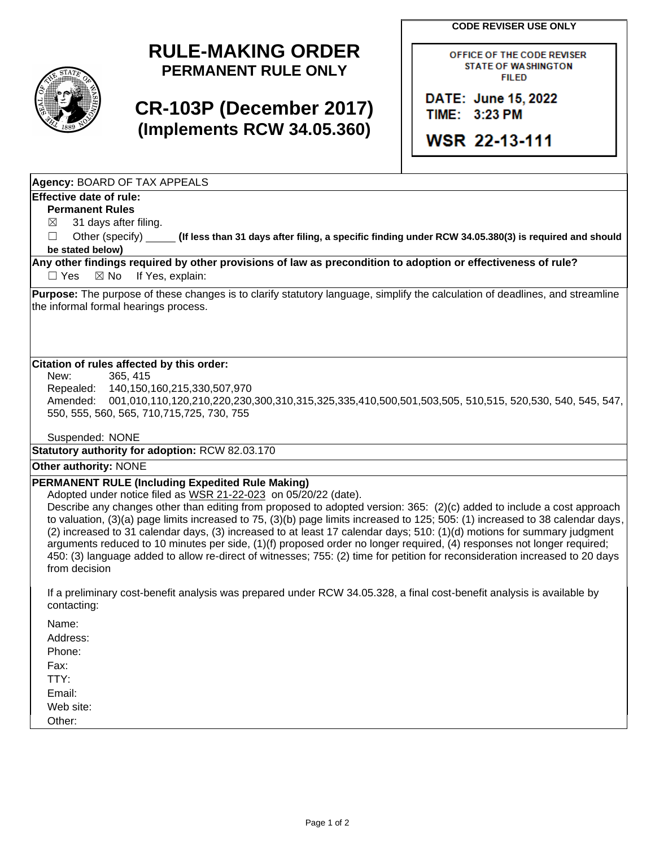**CODE REVISER USE ONLY**



## **RULE-MAKING ORDER PERMANENT RULE ONLY**

# **CR-103P (December 2017) (Implements RCW 34.05.360)**

OFFICE OF THE CODE REVISER **STATE OF WASHINGTON FILED** 

DATE: June 15, 2022 TIME: 3:23 PM

**WSR 22-13-111** 

**Agency:** BOARD OF TAX APPEALS

### **Effective date of rule:**

**Permanent Rules**

- $\boxtimes$  31 days after filing.
- ☐ Other (specify) **(If less than 31 days after filing, a specific finding under RCW 34.05.380(3) is required and should be stated below)**

#### **Any other findings required by other provisions of law as precondition to adoption or effectiveness of rule?** □ Yes ⊠ No If Yes, explain:

**Purpose:** The purpose of these changes is to clarify statutory language, simplify the calculation of deadlines, and streamline the informal formal hearings process.

### **Citation of rules affected by this order:**

New: 365, 415 Repealed: 140,150,160,215,330,507,970 Amended: 001,010,110,120,210,220,230,300,310,315,325,335,410,500,501,503,505, 510,515, 520,530, 540, 545, 547, 550, 555, 560, 565, 710,715,725, 730, 755

Suspended: NONE

**Statutory authority for adoption:** RCW 82.03.170

#### **Other authority:** NONE

## **PERMANENT RULE (Including Expedited Rule Making)**

Adopted under notice filed as WSR 21-22-023 on 05/20/22 (date).

Describe any changes other than editing from proposed to adopted version: 365: (2)(c) added to include a cost approach to valuation, (3)(a) page limits increased to 75, (3)(b) page limits increased to 125; 505: (1) increased to 38 calendar days, (2) increased to 31 calendar days, (3) increased to at least 17 calendar days; 510: (1)(d) motions for summary judgment arguments reduced to 10 minutes per side, (1)(f) proposed order no longer required, (4) responses not longer required; 450: (3) language added to allow re-direct of witnesses; 755: (2) time for petition for reconsideration increased to 20 days from decision

If a preliminary cost-benefit analysis was prepared under RCW 34.05.328, a final cost-benefit analysis is available by contacting:

Name: Address:

Phone:

Fax:

TTY:

Email:

Web site:

Other: